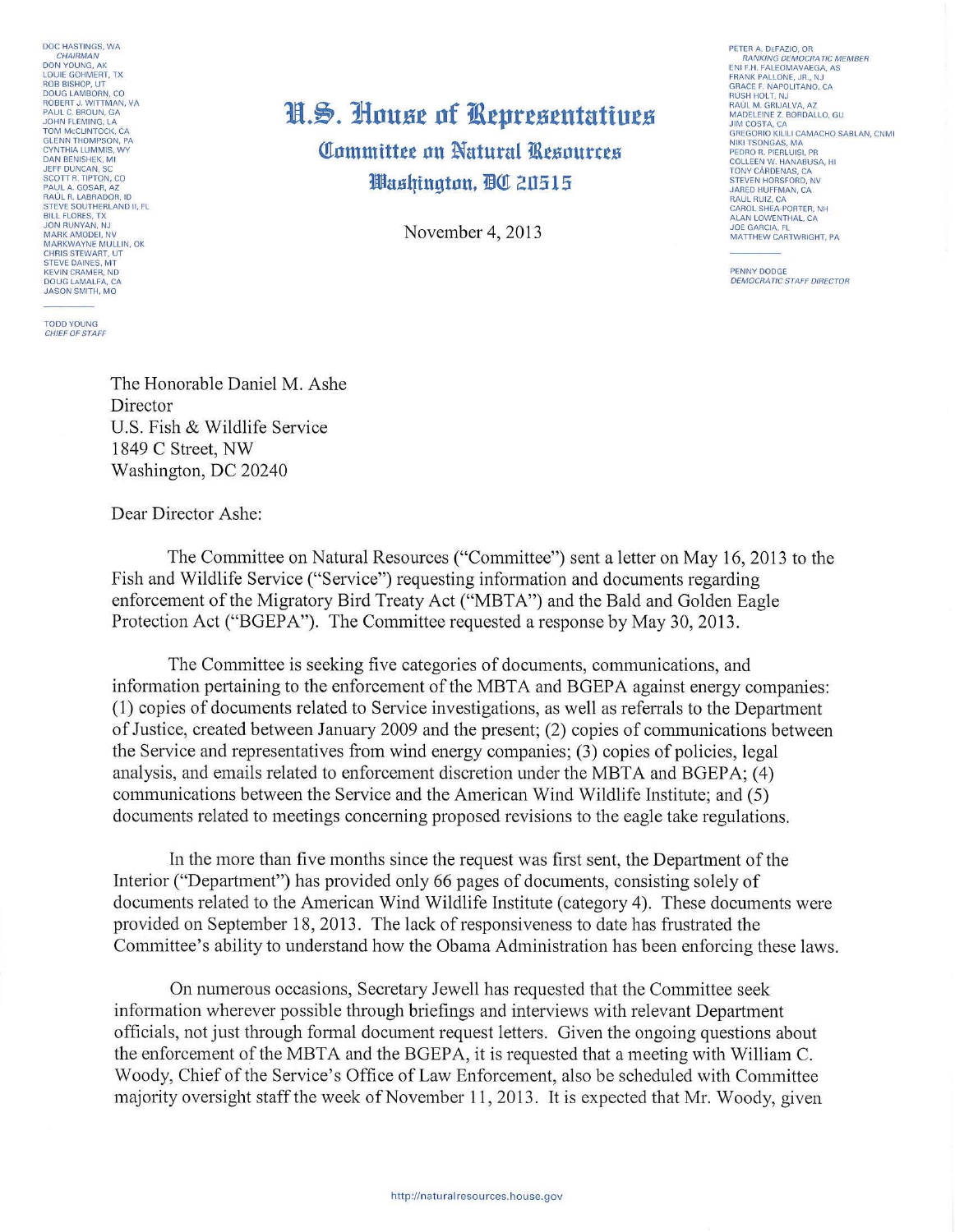DOC HASTINGS, WA CHAIRMAN CHAIRMAN<br>DON YOUNG, AK<br>LOUIE GOHMERT, TX<br>ROB BISHOP, UT<br>DOUG LAMBORN, CO<br>ROBERT J. WITTMAN, VA<br>PAUL C. BROUN, GA<br>PAUL C. BROUN, GA **JOHN FLEMING, LA** TOM MCCLINTOCK, CA<br>GLENN THOMPSON, PA<br>CYNTHIA LUMMIS, WY **DAN RENISHEK MI** JEFF DUNCAN, SC<br>SCOTT R. TIPTON, CO SCOTT R. TIPTON, CO<br>PAUL A. GOSAR, AZ<br>RAÚL R. LABRADOR, ID<br>STEVE SOUTHERLAND II, FL<br>BILL FLORES, TX<br>JON RUNYAN, NJ<br>MARK AMODEI, NV<br>MARK AMODEI, NV<br>CHIRIC STEVART III, OK<br>CHIRIC STEVART III, OK CHRIS STEWART, LIT STEVE DAINES, MT DOUG LAMALFA, CA **JASON SMITH, MO** 

**TODD YOUNG** CHIEF OF STAFF

## H.S. House of Representatives Committee on Natural Resources Washinaton, DC 20515

November 4, 2013

PETER A DEFAZIO OR RANKING DEMOCRATIC MEMBER<br>ENI F.H. FALEOMAVAEGA, AS FRANK PALLONE JR NJ GRACE F. NAPOLITANO, CA RAÚL M. GRIJALVA, AZ MADELEINE Z. BORDALLO, GU<br>JIM COSTA, CA<br>GREGORIO KILILI CAMACHO SABLAN, CNMI NIKI TSONGAS, MA<br>PEDRO R. PIERLUISI, PR<br>COLLEEN W. HANABUSA, HI TONY CÁRDENAS, CA STEVEN HORSFORD, NV<br>JARED HUFFMAN, CA<br>RAUL RUIZ, CA CAROL SHEA-PORTER NH CANOL SHEA-PONTER, INF<br>ALAN LOWENTHAL, CA<br>JOE GARCIA, FL<br>MATTHEW CARTWRIGHT, PA

PENNY DODGE **DEMOCRATIC STAFF DIRECTOR** 

The Honorable Daniel M. Ashe Director U.S. Fish & Wildlife Service 1849 C Street, NW Washington, DC 20240

Dear Director Ashe:

The Committee on Natural Resources ("Committee") sent a letter on May 16, 2013 to the Fish and Wildlife Service ("Service") requesting information and documents regarding enforcement of the Migratory Bird Treaty Act ("MBTA") and the Bald and Golden Eagle Protection Act ("BGEPA"). The Committee requested a response by May 30, 2013.

The Committee is seeking five categories of documents, communications, and information pertaining to the enforcement of the MBTA and BGEPA against energy companies: (1) copies of documents related to Service investigations, as well as referrals to the Department of Justice, created between January 2009 and the present; (2) copies of communications between the Service and representatives from wind energy companies; (3) copies of policies, legal analysis, and emails related to enforcement discretion under the MBTA and BGEPA: (4) communications between the Service and the American Wind Wildlife Institute; and (5) documents related to meetings concerning proposed revisions to the eagle take regulations.

In the more than five months since the request was first sent, the Department of the Interior ("Department") has provided only 66 pages of documents, consisting solely of documents related to the American Wind Wildlife Institute (category 4). These documents were provided on September 18, 2013. The lack of responsiveness to date has frustrated the Committee's ability to understand how the Obama Administration has been enforcing these laws.

On numerous occasions, Secretary Jewell has requested that the Committee seek information wherever possible through briefings and interviews with relevant Department officials, not just through formal document request letters. Given the ongoing questions about the enforcement of the MBTA and the BGEPA, it is requested that a meeting with William C. Woody, Chief of the Service's Office of Law Enforcement, also be scheduled with Committee majority oversight staff the week of November 11, 2013. It is expected that Mr. Woody, given